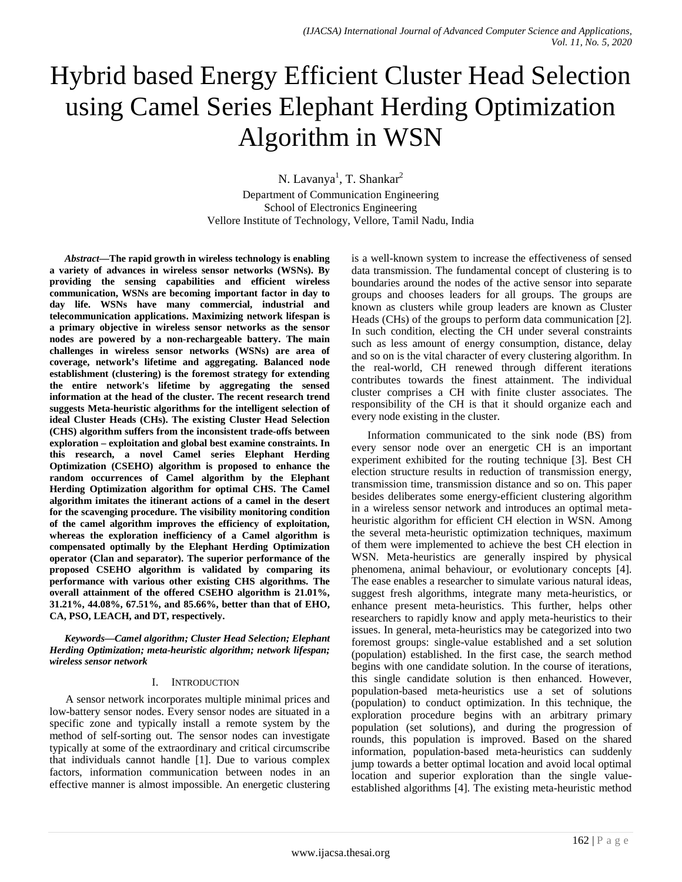# Hybrid based Energy Efficient Cluster Head Selection using Camel Series Elephant Herding Optimization Algorithm in WSN

N. Lavanya<sup>1</sup>, T. Shankar<sup>2</sup> Department of Communication Engineering School of Electronics Engineering Vellore Institute of Technology, Vellore, Tamil Nadu, India

*Abstract***—The rapid growth in wireless technology is enabling a variety of advances in wireless sensor networks (WSNs). By providing the sensing capabilities and efficient wireless communication, WSNs are becoming important factor in day to day life. WSNs have many commercial, industrial and telecommunication applications. Maximizing network lifespan is a primary objective in wireless sensor networks as the sensor nodes are powered by a non-rechargeable battery. The main challenges in wireless sensor networks (WSNs) are area of coverage, network's lifetime and aggregating. Balanced node establishment (clustering) is the foremost strategy for extending the entire network's lifetime by aggregating the sensed information at the head of the cluster. The recent research trend suggests Meta-heuristic algorithms for the intelligent selection of ideal Cluster Heads (CHs). The existing Cluster Head Selection (CHS) algorithm suffers from the inconsistent trade-offs between exploration – exploitation and global best examine constraints. In this research, a novel Camel series Elephant Herding Optimization (CSEHO) algorithm is proposed to enhance the random occurrences of Camel algorithm by the Elephant Herding Optimization algorithm for optimal CHS. The Camel algorithm imitates the itinerant actions of a camel in the desert for the scavenging procedure. The visibility monitoring condition of the camel algorithm improves the efficiency of exploitation, whereas the exploration inefficiency of a Camel algorithm is compensated optimally by the Elephant Herding Optimization operator (Clan and separator). The superior performance of the proposed CSEHO algorithm is validated by comparing its performance with various other existing CHS algorithms. The overall attainment of the offered CSEHO algorithm is 21.01%, 31.21%, 44.08%, 67.51%, and 85.66%, better than that of EHO, CA, PSO, LEACH, and DT, respectively.**

*Keywords—Camel algorithm; Cluster Head Selection; Elephant Herding Optimization; meta-heuristic algorithm; network lifespan; wireless sensor network*

# I. INTRODUCTION

A sensor network incorporates multiple minimal prices and low-battery sensor nodes. Every sensor nodes are situated in a specific zone and typically install a remote system by the method of self-sorting out. The sensor nodes can investigate typically at some of the extraordinary and critical circumscribe that individuals cannot handle [1]. Due to various complex factors, information communication between nodes in an effective manner is almost impossible. An energetic clustering

is a well-known system to increase the effectiveness of sensed data transmission. The fundamental concept of clustering is to boundaries around the nodes of the active sensor into separate groups and chooses leaders for all groups. The groups are known as clusters while group leaders are known as Cluster Heads (CHs) of the groups to perform data communication [2]. In such condition, electing the CH under several constraints such as less amount of energy consumption, distance, delay and so on is the vital character of every clustering algorithm. In the real-world, CH renewed through different iterations contributes towards the finest attainment. The individual cluster comprises a CH with finite cluster associates. The responsibility of the CH is that it should organize each and every node existing in the cluster.

Information communicated to the sink node (BS) from every sensor node over an energetic CH is an important experiment exhibited for the routing technique [3]. Best CH election structure results in reduction of transmission energy, transmission time, transmission distance and so on. This paper besides deliberates some energy-efficient clustering algorithm in a wireless sensor network and introduces an optimal metaheuristic algorithm for efficient CH election in WSN. Among the several meta-heuristic optimization techniques, maximum of them were implemented to achieve the best CH election in WSN. Meta-heuristics are generally inspired by physical phenomena, animal behaviour, or evolutionary concepts [4]. The ease enables a researcher to simulate various natural ideas, suggest fresh algorithms, integrate many meta-heuristics, or enhance present meta-heuristics. This further, helps other researchers to rapidly know and apply meta-heuristics to their issues. In general, meta-heuristics may be categorized into two foremost groups: single-value established and a set solution (population) established. In the first case, the search method begins with one candidate solution. In the course of iterations, this single candidate solution is then enhanced. However, population-based meta-heuristics use a set of solutions (population) to conduct optimization. In this technique, the exploration procedure begins with an arbitrary primary population (set solutions), and during the progression of rounds, this population is improved. Based on the shared information, population-based meta-heuristics can suddenly jump towards a better optimal location and avoid local optimal location and superior exploration than the single valueestablished algorithms [4]. The existing meta-heuristic method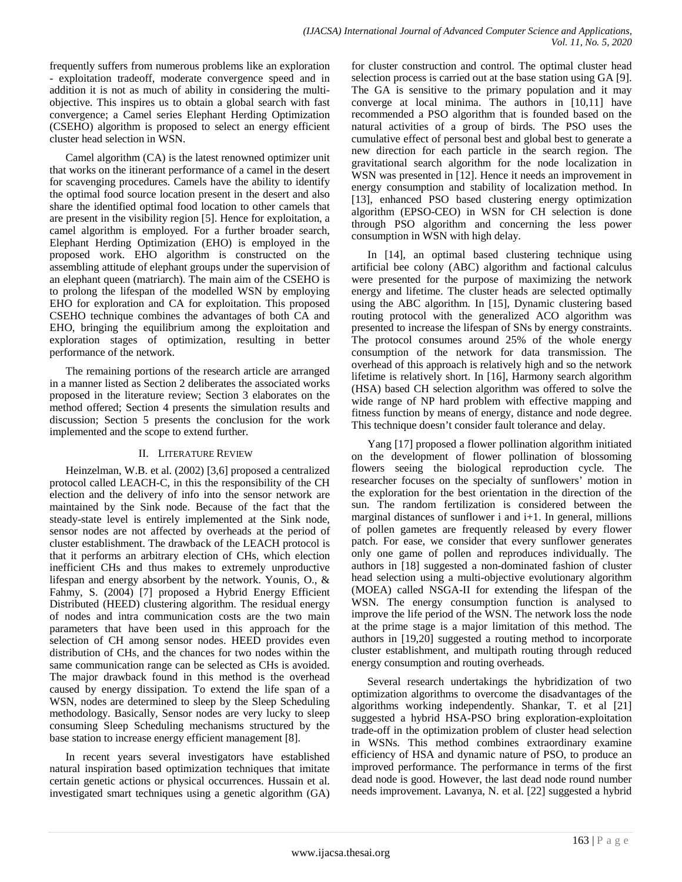frequently suffers from numerous problems like an exploration - exploitation tradeoff, moderate convergence speed and in addition it is not as much of ability in considering the multiobjective. This inspires us to obtain a global search with fast convergence; a Camel series Elephant Herding Optimization (CSEHO) algorithm is proposed to select an energy efficient cluster head selection in WSN.

Camel algorithm (CA) is the latest renowned optimizer unit that works on the itinerant performance of a camel in the desert for scavenging procedures. Camels have the ability to identify the optimal food source location present in the desert and also share the identified optimal food location to other camels that are present in the visibility region [5]. Hence for exploitation, a camel algorithm is employed. For a further broader search, Elephant Herding Optimization (EHO) is employed in the proposed work. EHO algorithm is constructed on the assembling attitude of elephant groups under the supervision of an elephant queen (matriarch). The main aim of the CSEHO is to prolong the lifespan of the modelled WSN by employing EHO for exploration and CA for exploitation. This proposed CSEHO technique combines the advantages of both CA and EHO, bringing the equilibrium among the exploitation and exploration stages of optimization, resulting in better performance of the network.

The remaining portions of the research article are arranged in a manner listed as Section 2 deliberates the associated works proposed in the literature review; Section 3 elaborates on the method offered; Section 4 presents the simulation results and discussion; Section 5 presents the conclusion for the work implemented and the scope to extend further.

# II. LITERATURE REVIEW

Heinzelman, W.B. et al. (2002) [3,6] proposed a centralized protocol called LEACH-C, in this the responsibility of the CH election and the delivery of info into the sensor network are maintained by the Sink node. Because of the fact that the steady-state level is entirely implemented at the Sink node, sensor nodes are not affected by overheads at the period of cluster establishment. The drawback of the LEACH protocol is that it performs an arbitrary election of CHs, which election inefficient CHs and thus makes to extremely unproductive lifespan and energy absorbent by the network. Younis, O., & Fahmy, S. (2004) [7] proposed a Hybrid Energy Efficient Distributed (HEED) clustering algorithm. The residual energy of nodes and intra communication costs are the two main parameters that have been used in this approach for the selection of CH among sensor nodes. HEED provides even distribution of CHs, and the chances for two nodes within the same communication range can be selected as CHs is avoided. The major drawback found in this method is the overhead caused by energy dissipation. To extend the life span of a WSN, nodes are determined to sleep by the Sleep Scheduling methodology. Basically, Sensor nodes are very lucky to sleep consuming Sleep Scheduling mechanisms structured by the base station to increase energy efficient management [8].

In recent years several investigators have established natural inspiration based optimization techniques that imitate certain genetic actions or physical occurrences. Hussain et al. investigated smart techniques using a genetic algorithm (GA)

for cluster construction and control. The optimal cluster head selection process is carried out at the base station using GA [9]. The GA is sensitive to the primary population and it may converge at local minima. The authors in [10,11] have recommended a PSO algorithm that is founded based on the natural activities of a group of birds. The PSO uses the cumulative effect of personal best and global best to generate a new direction for each particle in the search region. The gravitational search algorithm for the node localization in WSN was presented in [12]. Hence it needs an improvement in energy consumption and stability of localization method. In [13], enhanced PSO based clustering energy optimization algorithm (EPSO-CEO) in WSN for CH selection is done through PSO algorithm and concerning the less power consumption in WSN with high delay.

In [14], an optimal based clustering technique using artificial bee colony (ABC) algorithm and factional calculus were presented for the purpose of maximizing the network energy and lifetime. The cluster heads are selected optimally using the ABC algorithm. In [15], Dynamic clustering based routing protocol with the generalized ACO algorithm was presented to increase the lifespan of SNs by energy constraints. The protocol consumes around 25% of the whole energy consumption of the network for data transmission. The overhead of this approach is relatively high and so the network lifetime is relatively short. In [16], Harmony search algorithm (HSA) based CH selection algorithm was offered to solve the wide range of NP hard problem with effective mapping and fitness function by means of energy, distance and node degree. This technique doesn't consider fault tolerance and delay.

Yang [17] proposed a flower pollination algorithm initiated on the development of flower pollination of blossoming flowers seeing the biological reproduction cycle. The researcher focuses on the specialty of sunflowers' motion in the exploration for the best orientation in the direction of the sun. The random fertilization is considered between the marginal distances of sunflower i and  $i+1$ . In general, millions of pollen gametes are frequently released by every flower patch. For ease, we consider that every sunflower generates only one game of pollen and reproduces individually. The authors in [18] suggested a non-dominated fashion of cluster head selection using a multi-objective evolutionary algorithm (MOEA) called NSGA-II for extending the lifespan of the WSN. The energy consumption function is analysed to improve the life period of the WSN. The network loss the node at the prime stage is a major limitation of this method. The authors in [19,20] suggested a routing method to incorporate cluster establishment, and multipath routing through reduced energy consumption and routing overheads.

Several research undertakings the hybridization of two optimization algorithms to overcome the disadvantages of the algorithms working independently. Shankar, T. et al [21] suggested a hybrid HSA-PSO bring exploration-exploitation trade-off in the optimization problem of cluster head selection in WSNs. This method combines extraordinary examine efficiency of HSA and dynamic nature of PSO, to produce an improved performance. The performance in terms of the first dead node is good. However, the last dead node round number needs improvement. Lavanya, N. et al. [22] suggested a hybrid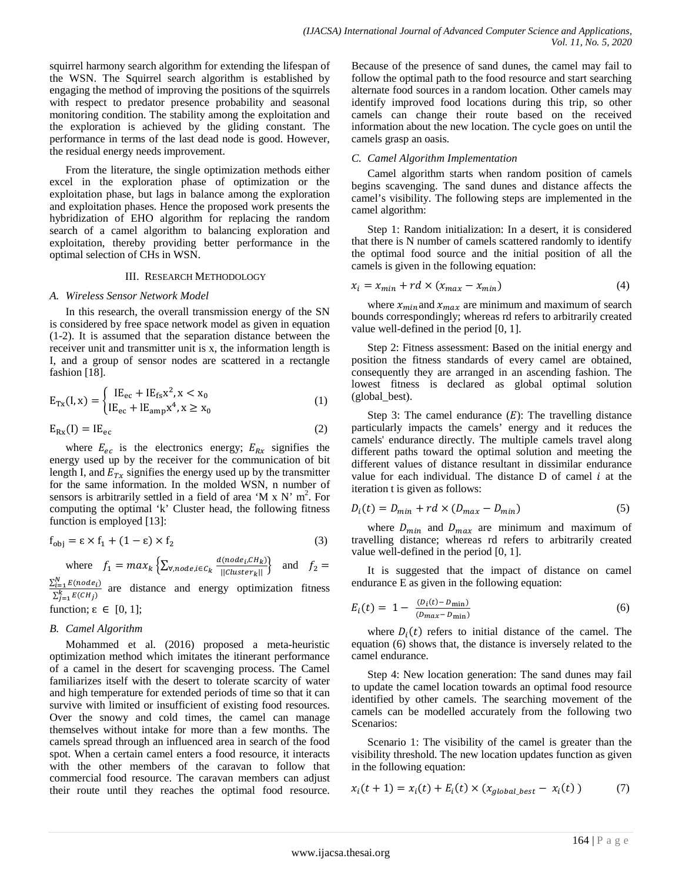squirrel harmony search algorithm for extending the lifespan of the WSN. The Squirrel search algorithm is established by engaging the method of improving the positions of the squirrels with respect to predator presence probability and seasonal monitoring condition. The stability among the exploitation and the exploration is achieved by the gliding constant. The performance in terms of the last dead node is good. However, the residual energy needs improvement.

From the literature, the single optimization methods either excel in the exploration phase of optimization or the exploitation phase, but lags in balance among the exploration and exploitation phases. Hence the proposed work presents the hybridization of EHO algorithm for replacing the random search of a camel algorithm to balancing exploration and exploitation, thereby providing better performance in the optimal selection of CHs in WSN.

# III. RESEARCH METHODOLOGY

## *A. Wireless Sensor Network Model*

In this research, the overall transmission energy of the SN is considered by free space network model as given in equation (1-2). It is assumed that the separation distance between the receiver unit and transmitter unit is x, the information length is I, and a group of sensor nodes are scattered in a rectangle fashion [18].

$$
E_{Tx}(I, x) = \begin{cases} IE_{ec} + IE_{fs}x^2, x < x_0 \\ IE_{ec} + IE_{amp}x^4, x \ge x_0 \end{cases}
$$
 (1)

$$
E_{Rx}(I) = I E_{ec}
$$
 (2)

where  $E_{ec}$  is the electronics energy;  $E_{Rx}$  signifies the energy used up by the receiver for the communication of bit length I, and  $E_{Tx}$  signifies the energy used up by the transmitter for the same information. In the molded WSN, n number of sensors is arbitrarily settled in a field of area 'M x N'  $m^2$ . For computing the optimal 'k' Cluster head, the following fitness function is employed [13]:

$$
f_{obj} = \varepsilon \times f_1 + (1 - \varepsilon) \times f_2 \tag{3}
$$

where 
$$
f_1 = max_k \{ \sum_{\forall, node, i \in C_k} \frac{d(node_i, CH_k)}{||Cluster_k||} \}
$$
 and  $f_2 =$ 

 $\sum_{i=1}^{N} E(node_i)$  $\sum_{i=1}^{k} E(CH_i)$ are distance and energy optimization fitness

# function;  $\varepsilon \in [0, 1]$ ;

## *B. Camel Algorithm*

Mohammed et al. (2016) proposed a meta-heuristic optimization method which imitates the itinerant performance of a camel in the desert for scavenging process. The Camel familiarizes itself with the desert to tolerate scarcity of water and high temperature for extended periods of time so that it can survive with limited or insufficient of existing food resources. Over the snowy and cold times, the camel can manage themselves without intake for more than a few months. The camels spread through an influenced area in search of the food spot. When a certain camel enters a food resource, it interacts with the other members of the caravan to follow that commercial food resource. The caravan members can adjust their route until they reaches the optimal food resource. Because of the presence of sand dunes, the camel may fail to follow the optimal path to the food resource and start searching alternate food sources in a random location. Other camels may identify improved food locations during this trip, so other camels can change their route based on the received information about the new location. The cycle goes on until the camels grasp an oasis.

## *C. Camel Algorithm Implementation*

Camel algorithm starts when random position of camels begins scavenging. The sand dunes and distance affects the camel's visibility. The following steps are implemented in the camel algorithm:

Step 1: Random initialization: In a desert, it is considered that there is N number of camels scattered randomly to identify the optimal food source and the initial position of all the camels is given in the following equation:

$$
x_i = x_{min} + rd \times (x_{max} - x_{min})
$$
\n(4)

where  $x_{min}$  and  $x_{max}$  are minimum and maximum of search bounds correspondingly; whereas rd refers to arbitrarily created value well-defined in the period [0, 1].

Step 2: Fitness assessment: Based on the initial energy and position the fitness standards of every camel are obtained, consequently they are arranged in an ascending fashion. The lowest fitness is declared as global optimal solution (global\_best).

Step 3: The camel endurance  $(E)$ : The travelling distance particularly impacts the camels' energy and it reduces the camels' endurance directly. The multiple camels travel along different paths toward the optimal solution and meeting the different values of distance resultant in dissimilar endurance value for each individual. The distance  $D$  of camel  $i$  at the iteration t is given as follows:

$$
D_i(t) = D_{min} + rd \times (D_{max} - D_{min})
$$
\n<sup>(5)</sup>

where  $D_{min}$  and  $D_{max}$  are minimum and maximum of travelling distance; whereas rd refers to arbitrarily created value well-defined in the period [0, 1].

It is suggested that the impact of distance on camel endurance E as given in the following equation:

$$
E_i(t) = 1 - \frac{(D_i(t) - D_{\min})}{(D_{\max} - D_{\min})}
$$
(6)

where  $D_i(t)$  refers to initial distance of the camel. The equation (6) shows that, the distance is inversely related to the camel endurance.

Step 4: New location generation: The sand dunes may fail to update the camel location towards an optimal food resource identified by other camels. The searching movement of the camels can be modelled accurately from the following two Scenarios:

Scenario 1: The visibility of the camel is greater than the visibility threshold. The new location updates function as given in the following equation:

$$
x_i(t+1) = x_i(t) + E_i(t) \times (x_{global\_best} - x_i(t))
$$
 (7)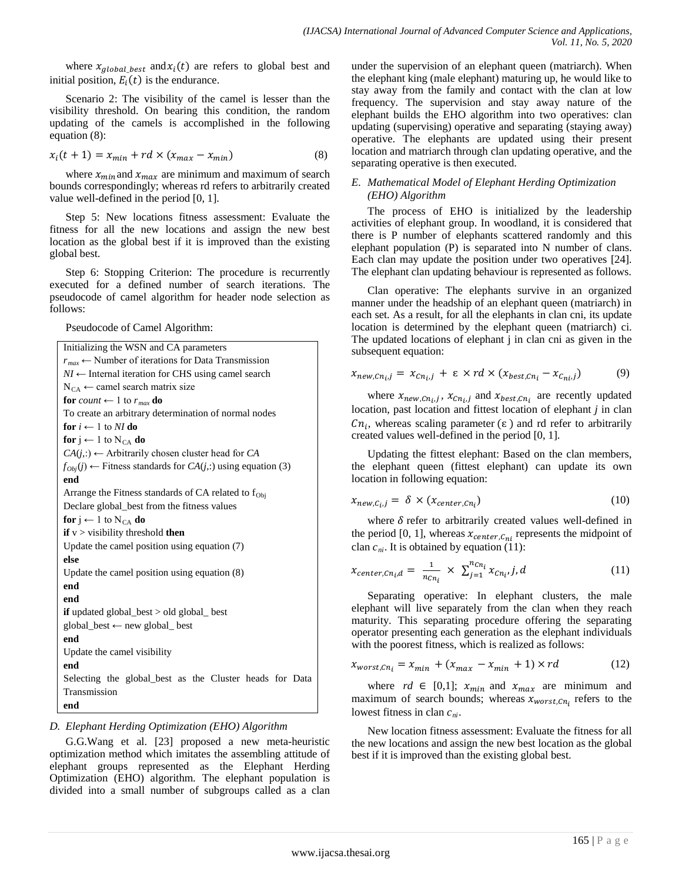where  $x_{global best}$  and  $x_i(t)$  are refers to global best and initial position,  $E_i(t)$  is the endurance.

Scenario 2: The visibility of the camel is lesser than the visibility threshold. On bearing this condition, the random updating of the camels is accomplished in the following equation (8):

$$
x_i(t+1) = x_{min} + rd \times (x_{max} - x_{min})
$$
\n(8)

where  $x_{min}$  and  $x_{max}$  are minimum and maximum of search bounds correspondingly; whereas rd refers to arbitrarily created value well-defined in the period [0, 1].

Step 5: New locations fitness assessment: Evaluate the fitness for all the new locations and assign the new best location as the global best if it is improved than the existing global best.

Step 6: Stopping Criterion: The procedure is recurrently executed for a defined number of search iterations. The pseudocode of camel algorithm for header node selection as follows:

Pseudocode of Camel Algorithm:

```
Initializing the WSN and CA parameters
r_{max} \leftarrow Number of iterations for Data Transmission
NI ← Internal iteration for CHS using camel search
N_{CA} \leftarrow camel search matrix size
for count \leftarrow 1 to r_{max} do
To create an arbitrary determination of normal nodes
for i \leftarrow 1 to NI do
for j ← 1 to N_{CA} do
CA(j,:) \leftarrow Arbitrarily chosen cluster head for CA
f<sub>Obj</sub>(<i>j</i>) ← Fitness standards for CA(j,:) using equation (3)
end
Arrange the Fitness standards of CA related to f_{\text{Obj}}Declare global_best from the fitness values 
for j ← 1 to N<sub>CA</sub> do
if v > visibility threshold then
Update the camel position using equation (7)
else
Update the camel position using equation (8)
end
end
if updated global_best > old global_ best
global_best ← new global_ best
end
Update the camel visibility
end
Selecting the global_best as the Cluster heads for Data 
Transmission
end
```
# *D. Elephant Herding Optimization (EHO) Algorithm*

G.G.Wang et al. [23] proposed a new meta-heuristic optimization method which imitates the assembling attitude of elephant groups represented as the Elephant Herding Optimization (EHO) algorithm. The elephant population is divided into a small number of subgroups called as a clan under the supervision of an elephant queen (matriarch). When the elephant king (male elephant) maturing up, he would like to stay away from the family and contact with the clan at low frequency. The supervision and stay away nature of the elephant builds the EHO algorithm into two operatives: clan updating (supervising) operative and separating (staying away) operative. The elephants are updated using their present location and matriarch through clan updating operative, and the separating operative is then executed.

# *E. Mathematical Model of Elephant Herding Optimization (EHO) Algorithm*

The process of EHO is initialized by the leadership activities of elephant group. In woodland, it is considered that there is P number of elephants scattered randomly and this elephant population (P) is separated into N number of clans. Each clan may update the position under two operatives [24]. The elephant clan updating behaviour is represented as follows.

Clan operative: The elephants survive in an organized manner under the headship of an elephant queen (matriarch) in each set. As a result, for all the elephants in clan cni, its update location is determined by the elephant queen (matriarch) ci. The updated locations of elephant j in clan cni as given in the subsequent equation:

$$
x_{new, Cn_i, j} = x_{Cn_i, j} + \varepsilon \times rd \times (x_{best, Cn_i} - x_{Cn_i, j}) \tag{9}
$$

where  $x_{new, Cn_i, j}$ ,  $x_{Cn_i, j}$  and  $x_{best, Cn_i}$  are recently updated location, past location and fittest location of elephant *j* in clan  $Cn_i$ , whereas scaling parameter ( $\varepsilon$ ) and rd refer to arbitrarily created values well-defined in the period [0, 1].

Updating the fittest elephant: Based on the clan members, the elephant queen (fittest elephant) can update its own location in following equation:

$$
x_{new,C_i,j} = \delta \times (x_{center,cn_i})
$$
\n(10)

where  $\delta$  refer to arbitrarily created values well-defined in the period [0, 1], whereas  $x_{center, C_{ni}}$  represents the midpoint of clan  $c_{ni}$ . It is obtained by equation (11):

$$
x_{center, Cn_i,d} = \frac{1}{n_{Cn_i}} \times \sum_{j=1}^{n_{Cn_i}} x_{Cn_i,j,d}
$$
 (11)

Separating operative: In elephant clusters, the male elephant will live separately from the clan when they reach maturity. This separating procedure offering the separating operator presenting each generation as the elephant individuals with the poorest fitness, which is realized as follows:

$$
x_{worst, Cn_i} = x_{min} + (x_{max} - x_{min} + 1) \times rd
$$
 (12)

where  $rd \in [0,1]$ ;  $x_{min}$  and  $x_{max}$  are minimum and maximum of search bounds; whereas  $x_{worst, Cn_i}$  refers to the lowest fitness in clan  $c_{ni}$ .

New location fitness assessment: Evaluate the fitness for all the new locations and assign the new best location as the global best if it is improved than the existing global best.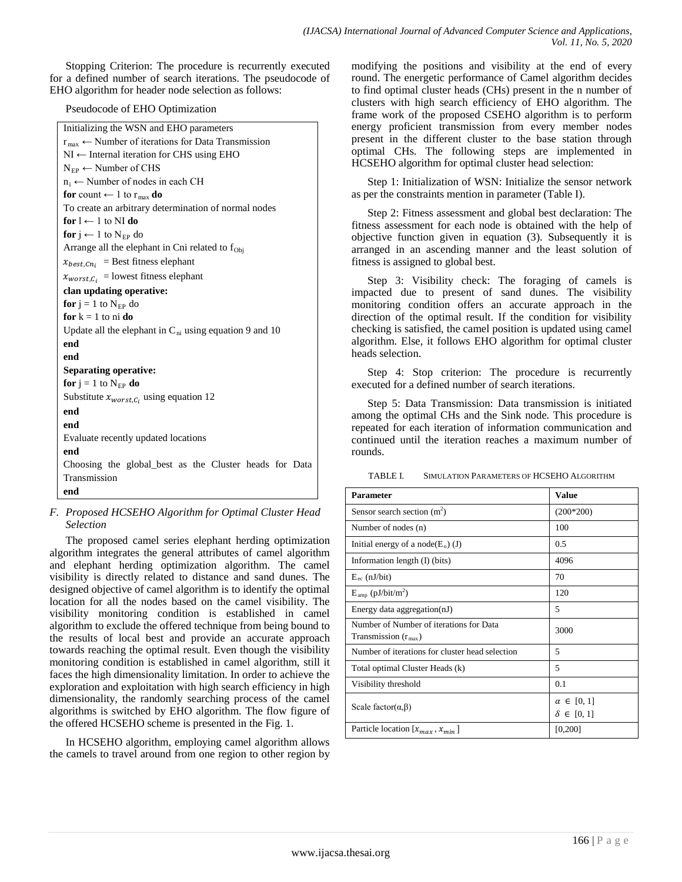Stopping Criterion: The procedure is recurrently executed for a defined number of search iterations. The pseudocode of EHO algorithm for header node selection as follows:

Pseudocode of EHO Optimization

| Initializing the WSN and EHO parameters                                |  |  |  |  |  |  |  |
|------------------------------------------------------------------------|--|--|--|--|--|--|--|
| $r_{\text{max}} \leftarrow$ Number of iterations for Data Transmission |  |  |  |  |  |  |  |
| NI ← Internal iteration for CHS using EHO                              |  |  |  |  |  |  |  |
| $N_{EP} \leftarrow$ Number of CHS                                      |  |  |  |  |  |  |  |
| $n_i \leftarrow$ Number of nodes in each CH                            |  |  |  |  |  |  |  |
| for count $\leftarrow$ 1 to $r_{\text{max}}$ do                        |  |  |  |  |  |  |  |
| To create an arbitrary determination of normal nodes                   |  |  |  |  |  |  |  |
| for $l \leftarrow 1$ to NI do                                          |  |  |  |  |  |  |  |
| <b>for</b> j ← 1 to N <sub>EP</sub> do                                 |  |  |  |  |  |  |  |
| Arrange all the elephant in Cni related to $f_{Obj}$                   |  |  |  |  |  |  |  |
| $x_{best, Cn_i}$ = Best fitness elephant                               |  |  |  |  |  |  |  |
| $x_{worst,C_i}$ = lowest fitness elephant                              |  |  |  |  |  |  |  |
| clan updating operative:                                               |  |  |  |  |  |  |  |
| for $j = 1$ to $N_{EP}$ do                                             |  |  |  |  |  |  |  |
| for $k = 1$ to ni do                                                   |  |  |  |  |  |  |  |
| Update all the elephant in $C_{ni}$ using equation 9 and 10            |  |  |  |  |  |  |  |
| end                                                                    |  |  |  |  |  |  |  |
| end                                                                    |  |  |  |  |  |  |  |
| <b>Separating operative:</b>                                           |  |  |  |  |  |  |  |
| <b>for</b> $j = 1$ to $N_{EP}$ <b>do</b>                               |  |  |  |  |  |  |  |
| Substitute $x_{worst,C_i}$ using equation 12                           |  |  |  |  |  |  |  |
| end                                                                    |  |  |  |  |  |  |  |
| end                                                                    |  |  |  |  |  |  |  |
| Evaluate recently updated locations                                    |  |  |  |  |  |  |  |
| end                                                                    |  |  |  |  |  |  |  |
| Choosing the global_best as the Cluster heads for Data                 |  |  |  |  |  |  |  |
| Transmission                                                           |  |  |  |  |  |  |  |
| end                                                                    |  |  |  |  |  |  |  |

# *F. Proposed HCSEHO Algorithm for Optimal Cluster Head Selection*

The proposed camel series elephant herding optimization algorithm integrates the general attributes of camel algorithm and elephant herding optimization algorithm. The camel visibility is directly related to distance and sand dunes. The designed objective of camel algorithm is to identify the optimal location for all the nodes based on the camel visibility. The visibility monitoring condition is established in camel algorithm to exclude the offered technique from being bound to the results of local best and provide an accurate approach towards reaching the optimal result. Even though the visibility monitoring condition is established in camel algorithm, still it faces the high dimensionality limitation. In order to achieve the exploration and exploitation with high search efficiency in high dimensionality, the randomly searching process of the camel algorithms is switched by EHO algorithm. The flow figure of the offered HCSEHO scheme is presented in the Fig. 1.

In HCSEHO algorithm, employing camel algorithm allows the camels to travel around from one region to other region by modifying the positions and visibility at the end of every round. The energetic performance of Camel algorithm decides to find optimal cluster heads (CHs) present in the n number of clusters with high search efficiency of EHO algorithm. The frame work of the proposed CSEHO algorithm is to perform energy proficient transmission from every member nodes present in the different cluster to the base station through optimal CHs. The following steps are implemented in HCSEHO algorithm for optimal cluster head selection:

Step 1: Initialization of WSN: Initialize the sensor network as per the constraints mention in parameter (Table I).

Step 2: Fitness assessment and global best declaration: The fitness assessment for each node is obtained with the help of objective function given in equation (3). Subsequently it is arranged in an ascending manner and the least solution of fitness is assigned to global best.

Step 3: Visibility check: The foraging of camels is impacted due to present of sand dunes. The visibility monitoring condition offers an accurate approach in the direction of the optimal result. If the condition for visibility checking is satisfied, the camel position is updated using camel algorithm. Else, it follows EHO algorithm for optimal cluster heads selection.

Step 4: Stop criterion: The procedure is recurrently executed for a defined number of search iterations.

Step 5: Data Transmission: Data transmission is initiated among the optimal CHs and the Sink node. This procedure is repeated for each iteration of information communication and continued until the iteration reaches a maximum number of rounds.

TABLE I. SIMULATION PARAMETERS OF HCSEHO ALGORITHM

| <b>Parameter</b>                                                           | Value                                     |
|----------------------------------------------------------------------------|-------------------------------------------|
| Sensor search section $(m2)$                                               | $(200*200)$                               |
| Number of nodes (n)                                                        | 100                                       |
| Initial energy of a node( $E_0$ ) (J)                                      | 0.5                                       |
| Information length $(I)$ (bits)                                            | 4096                                      |
| $E_{\rm ec}$ (nJ/bit)                                                      | 70                                        |
| $E_{amp}$ (pJ/bit/m <sup>2</sup> )                                         | 120                                       |
| Energy data aggregation(nJ)                                                | 5                                         |
| Number of Number of iterations for Data<br>Transmission $(r_{\text{max}})$ | 3000                                      |
| Number of iterations for cluster head selection                            | 5                                         |
| Total optimal Cluster Heads (k)                                            | 5                                         |
| Visibility threshold                                                       | 0.1                                       |
| Scale factor( $\alpha, \beta$ )                                            | $\alpha \in [0, 1]$<br>$\delta \in [0,1]$ |
| Particle location $[x_{max}, x_{min}]$                                     | [0, 200]                                  |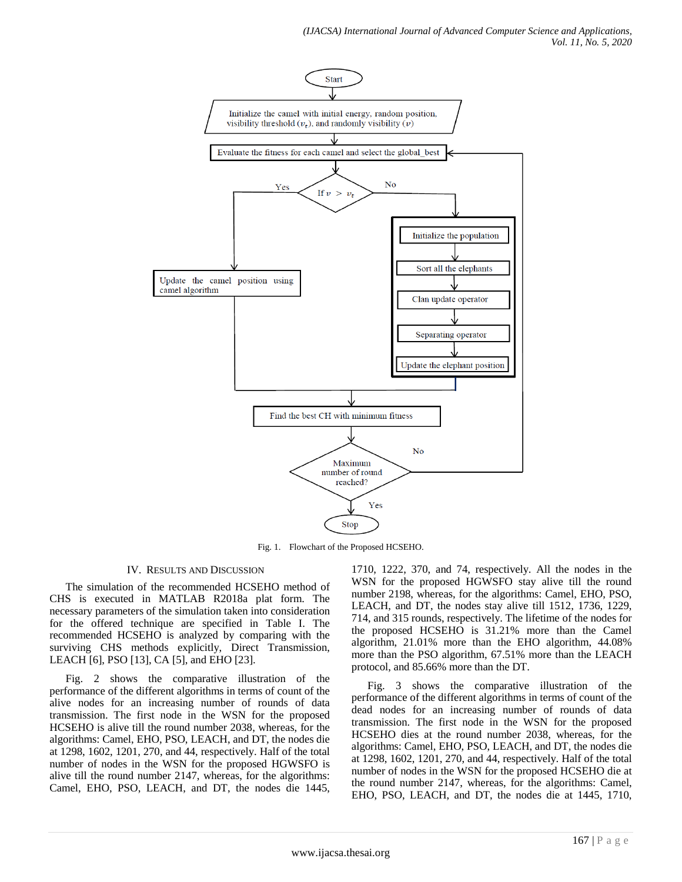

Fig. 1. Flowchart of the Proposed HCSEHO.

# IV. RESULTS AND DISCUSSION

The simulation of the recommended HCSEHO method of CHS is executed in MATLAB R2018a plat form. The necessary parameters of the simulation taken into consideration for the offered technique are specified in Table I. The recommended HCSEHO is analyzed by comparing with the surviving CHS methods explicitly, Direct Transmission, LEACH [6], PSO [13], CA [5], and EHO [23].

Fig. 2 shows the comparative illustration of the performance of the different algorithms in terms of count of the alive nodes for an increasing number of rounds of data transmission. The first node in the WSN for the proposed HCSEHO is alive till the round number 2038, whereas, for the algorithms: Camel, EHO, PSO, LEACH, and DT, the nodes die at 1298, 1602, 1201, 270, and 44, respectively. Half of the total number of nodes in the WSN for the proposed HGWSFO is alive till the round number 2147, whereas, for the algorithms: Camel, EHO, PSO, LEACH, and DT, the nodes die 1445,

1710, 1222, 370, and 74, respectively. All the nodes in the WSN for the proposed HGWSFO stay alive till the round number 2198, whereas, for the algorithms: Camel, EHO, PSO, LEACH, and DT, the nodes stay alive till 1512, 1736, 1229, 714, and 315 rounds, respectively. The lifetime of the nodes for the proposed HCSEHO is 31.21% more than the Camel algorithm, 21.01% more than the EHO algorithm, 44.08% more than the PSO algorithm, 67.51% more than the LEACH protocol, and 85.66% more than the DT.

Fig. 3 shows the comparative illustration of the performance of the different algorithms in terms of count of the dead nodes for an increasing number of rounds of data transmission. The first node in the WSN for the proposed HCSEHO dies at the round number 2038, whereas, for the algorithms: Camel, EHO, PSO, LEACH, and DT, the nodes die at 1298, 1602, 1201, 270, and 44, respectively. Half of the total number of nodes in the WSN for the proposed HCSEHO die at the round number 2147, whereas, for the algorithms: Camel, EHO, PSO, LEACH, and DT, the nodes die at 1445, 1710,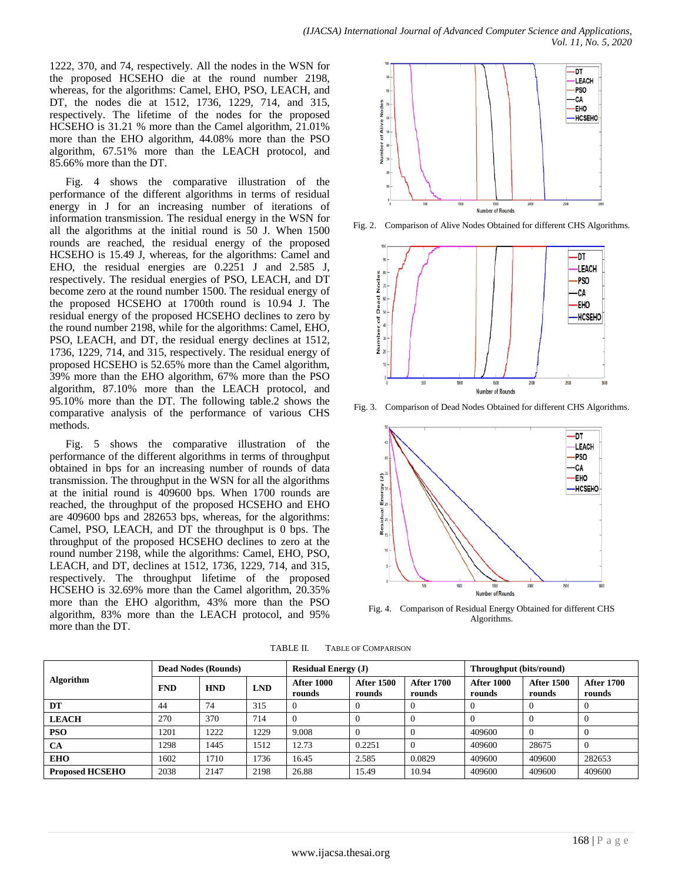1222, 370, and 74, respectively. All the nodes in the WSN for the proposed HCSEHO die at the round number 2198, whereas, for the algorithms: Camel, EHO, PSO, LEACH, and DT, the nodes die at 1512, 1736, 1229, 714, and 315, respectively. The lifetime of the nodes for the proposed HCSEHO is 31.21 % more than the Camel algorithm, 21.01% more than the EHO algorithm, 44.08% more than the PSO algorithm, 67.51% more than the LEACH protocol, and 85.66% more than the DT.

Fig. 4 shows the comparative illustration of the performance of the different algorithms in terms of residual energy in J for an increasing number of iterations of information transmission. The residual energy in the WSN for all the algorithms at the initial round is 50 J. When 1500 rounds are reached, the residual energy of the proposed HCSEHO is 15.49 J, whereas, for the algorithms: Camel and EHO, the residual energies are 0.2251 J and 2.585 J, respectively. The residual energies of PSO, LEACH, and DT become zero at the round number 1500. The residual energy of the proposed HCSEHO at 1700th round is 10.94 J. The residual energy of the proposed HCSEHO declines to zero by the round number 2198, while for the algorithms: Camel, EHO, PSO, LEACH, and DT, the residual energy declines at 1512, 1736, 1229, 714, and 315, respectively. The residual energy of proposed HCSEHO is 52.65% more than the Camel algorithm, 39% more than the EHO algorithm, 67% more than the PSO algorithm, 87.10% more than the LEACH protocol, and 95.10% more than the DT. The following table.2 shows the comparative analysis of the performance of various CHS methods.

Fig. 5 shows the comparative illustration of the performance of the different algorithms in terms of throughput obtained in bps for an increasing number of rounds of data transmission. The throughput in the WSN for all the algorithms at the initial round is 409600 bps. When 1700 rounds are reached, the throughput of the proposed HCSEHO and EHO are 409600 bps and 282653 bps, whereas, for the algorithms: Camel, PSO, LEACH, and DT the throughput is 0 bps. The throughput of the proposed HCSEHO declines to zero at the round number 2198, while the algorithms: Camel, EHO, PSO, LEACH, and DT, declines at 1512, 1736, 1229, 714, and 315, respectively. The throughput lifetime of the proposed HCSEHO is 32.69% more than the Camel algorithm, 20.35% more than the EHO algorithm, 43% more than the PSO algorithm, 83% more than the LEACH protocol, and 95% more than the DT.



Fig. 2. Comparison of Alive Nodes Obtained for different CHS Algorithms.



Fig. 3. Comparison of Dead Nodes Obtained for different CHS Algorithms.



Fig. 4. Comparison of Residual Energy Obtained for different CHS Algorithms.

TABLE II. TABLE OF COMPARISON

| <b>Algorithm</b>       | <b>Dead Nodes (Rounds)</b> |            |            | <b>Residual Energy (J)</b>  |                             |                             | Throughput (bits/round)     |                             |                             |
|------------------------|----------------------------|------------|------------|-----------------------------|-----------------------------|-----------------------------|-----------------------------|-----------------------------|-----------------------------|
|                        | <b>FND</b>                 | <b>HND</b> | <b>LND</b> | <b>After 1000</b><br>rounds | <b>After 1500</b><br>rounds | <b>After 1700</b><br>rounds | <b>After 1000</b><br>rounds | <b>After 1500</b><br>rounds | <b>After 1700</b><br>rounds |
| DT                     | 44                         | 74         | 315        |                             |                             |                             |                             |                             |                             |
| <b>LEACH</b>           | 270                        | 370        | 714        |                             |                             |                             |                             |                             |                             |
| <b>PSO</b>             | 1201                       | 1222       | 1229       | 9.008                       |                             |                             | 409600                      |                             |                             |
| <b>CA</b>              | 1298                       | 1445       | 1512       | 12.73                       | 0.2251                      |                             | 409600                      | 28675                       |                             |
| <b>EHO</b>             | 1602                       | 1710       | 1736       | 16.45                       | 2.585                       | 0.0829                      | 409600                      | 409600                      | 282653                      |
| <b>Proposed HCSEHO</b> | 2038                       | 2147       | 2198       | 26.88                       | 15.49                       | 10.94                       | 409600                      | 409600                      | 409600                      |